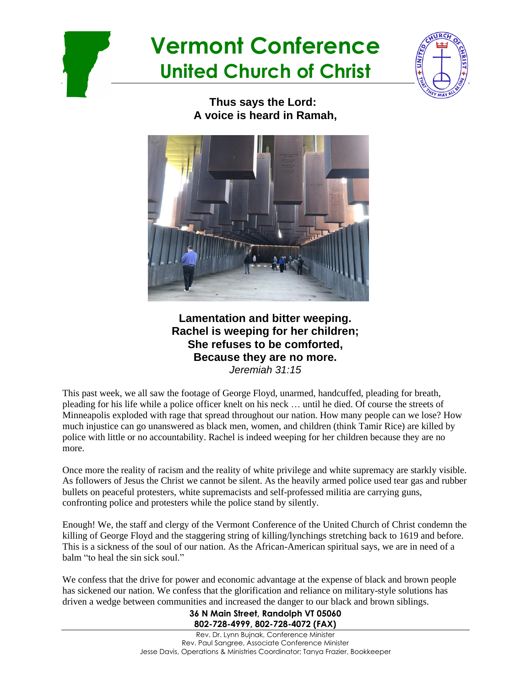



**Thus says the Lord: A voice is heard in Ramah,**



**Lamentation and bitter weeping. Rachel is weeping for her children; She refuses to be comforted, Because they are no more.** *Jeremiah 31:15*

This past week, we all saw the footage of George Floyd, unarmed, handcuffed, pleading for breath, pleading for his life while a police officer knelt on his neck … until he died. Of course the streets of Minneapolis exploded with rage that spread throughout our nation. How many people can we lose? How much injustice can go unanswered as black men, women, and children (think Tamir Rice) are killed by police with little or no accountability. Rachel is indeed weeping for her children because they are no more.

Once more the reality of racism and the reality of white privilege and white supremacy are starkly visible. As followers of Jesus the Christ we cannot be silent. As the heavily armed police used tear gas and rubber bullets on peaceful protesters, white supremacists and self-professed militia are carrying guns, confronting police and protesters while the police stand by silently.

Enough! We, the staff and clergy of the Vermont Conference of the United Church of Christ condemn the killing of George Floyd and the staggering string of killing/lynchings stretching back to 1619 and before. This is a sickness of the soul of our nation. As the African-American spiritual says, we are in need of a balm "to heal the sin sick soul."

We confess that the drive for power and economic advantage at the expense of black and brown people has sickened our nation. We confess that the glorification and reliance on military-style solutions has driven a wedge between communities and increased the danger to our black and brown siblings.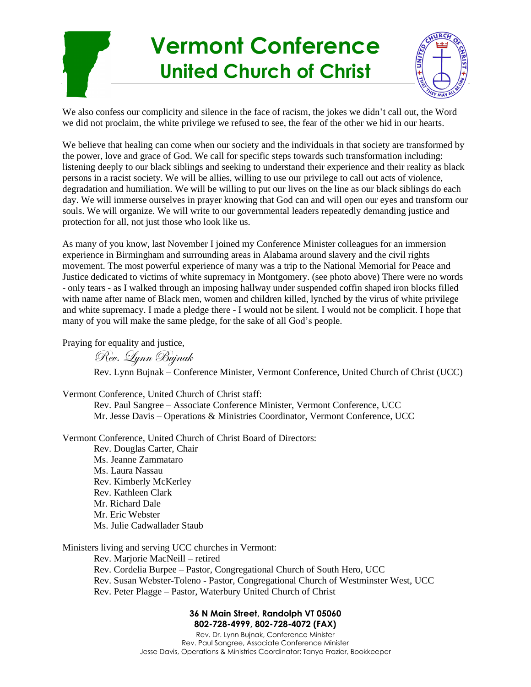

We also confess our complicity and silence in the face of racism, the jokes we didn't call out, the Word we did not proclaim, the white privilege we refused to see, the fear of the other we hid in our hearts.

We believe that healing can come when our society and the individuals in that society are transformed by the power, love and grace of God. We call for specific steps towards such transformation including: listening deeply to our black siblings and seeking to understand their experience and their reality as black persons in a racist society. We will be allies, willing to use our privilege to call out acts of violence, degradation and humiliation. We will be willing to put our lives on the line as our black siblings do each day. We will immerse ourselves in prayer knowing that God can and will open our eyes and transform our souls. We will organize. We will write to our governmental leaders repeatedly demanding justice and protection for all, not just those who look like us.

As many of you know, last November I joined my Conference Minister colleagues for an immersion experience in Birmingham and surrounding areas in Alabama around slavery and the civil rights movement. The most powerful experience of many was a trip to the National Memorial for Peace and Justice dedicated to victims of white supremacy in Montgomery. (see photo above) There were no words - only tears - as I walked through an imposing hallway under suspended coffin shaped iron blocks filled with name after name of Black men, women and children killed, lynched by the virus of white privilege and white supremacy. I made a pledge there - I would not be silent. I would not be complicit. I hope that many of you will make the same pledge, for the sake of all God's people.

Praying for equality and justice,

Rev. Lynn Bujnak

Rev. Lynn Bujnak – Conference Minister, Vermont Conference, United Church of Christ (UCC)

Vermont Conference, United Church of Christ staff:

Rev. Paul Sangree – Associate Conference Minister, Vermont Conference, UCC Mr. Jesse Davis – Operations & Ministries Coordinator, Vermont Conference, UCC

Vermont Conference, United Church of Christ Board of Directors:

Rev. Douglas Carter, Chair Ms. Jeanne Zammataro Ms. Laura Nassau Rev. Kimberly McKerley Rev. Kathleen Clark Mr. Richard Dale Mr. Eric Webster Ms. Julie Cadwallader Staub

Ministers living and serving UCC churches in Vermont:

Rev. Marjorie MacNeill – retired Rev. Cordelia Burpee – Pastor, Congregational Church of South Hero, UCC Rev. Susan Webster-Toleno - Pastor, Congregational Church of Westminster West, UCC Rev. Peter Plagge – Pastor, Waterbury United Church of Christ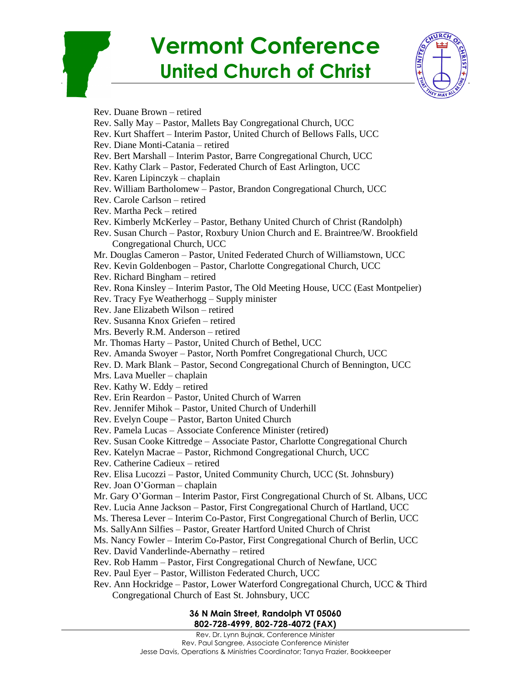

Rev. Duane Brown – retired Rev. Sally May – Pastor, Mallets Bay Congregational Church, UCC Rev. Kurt Shaffert – Interim Pastor, United Church of Bellows Falls, UCC Rev. Diane Monti-Catania – retired Rev. Bert Marshall – Interim Pastor, Barre Congregational Church, UCC Rev. Kathy Clark – Pastor, Federated Church of East Arlington, UCC Rev. Karen Lipinczyk – chaplain Rev. William Bartholomew – Pastor, Brandon Congregational Church, UCC Rev. Carole Carlson – retired Rev. Martha Peck – retired Rev. Kimberly McKerley – Pastor, Bethany United Church of Christ (Randolph) Rev. Susan Church – Pastor, Roxbury Union Church and E. Braintree/W. Brookfield Congregational Church, UCC Mr. Douglas Cameron – Pastor, United Federated Church of Williamstown, UCC Rev. Kevin Goldenbogen – Pastor, Charlotte Congregational Church, UCC Rev. Richard Bingham – retired Rev. Rona Kinsley – Interim Pastor, The Old Meeting House, UCC (East Montpelier) Rev. Tracy Fye Weatherhogg – Supply minister Rev. Jane Elizabeth Wilson – retired Rev. Susanna Knox Griefen – retired Mrs. Beverly R.M. Anderson – retired Mr. Thomas Harty – Pastor, United Church of Bethel, UCC Rev. Amanda Swoyer – Pastor, North Pomfret Congregational Church, UCC Rev. D. Mark Blank – Pastor, Second Congregational Church of Bennington, UCC Mrs. Lava Mueller – chaplain Rev. Kathy W. Eddy – retired Rev. Erin Reardon – Pastor, United Church of Warren Rev. Jennifer Mihok – Pastor, United Church of Underhill Rev. Evelyn Coupe – Pastor, Barton United Church Rev. Pamela Lucas – Associate Conference Minister (retired) Rev. Susan Cooke Kittredge – Associate Pastor, Charlotte Congregational Church Rev. Katelyn Macrae – Pastor, Richmond Congregational Church, UCC Rev. Catherine Cadieux – retired Rev. Elisa Lucozzi – Pastor, United Community Church, UCC (St. Johnsbury) Rev. Joan O'Gorman – chaplain Mr. Gary O'Gorman – Interim Pastor, First Congregational Church of St. Albans, UCC Rev. Lucia Anne Jackson – Pastor, First Congregational Church of Hartland, UCC Ms. Theresa Lever – Interim Co-Pastor, First Congregational Church of Berlin, UCC Ms. SallyAnn Silfies – Pastor, Greater Hartford United Church of Christ Ms. Nancy Fowler – Interim Co-Pastor, First Congregational Church of Berlin, UCC Rev. David Vanderlinde-Abernathy – retired Rev. Rob Hamm – Pastor, First Congregational Church of Newfane, UCC Rev. Paul Eyer – Pastor, Williston Federated Church, UCC Rev. Ann Hockridge – Pastor, Lower Waterford Congregational Church, UCC & Third Congregational Church of East St. Johnsbury, UCC